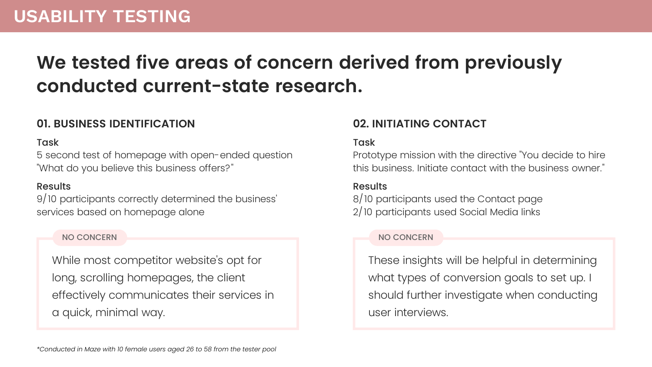# **We tested five areas of concern derived from previously conducted current-state research.**

## **01. BUSINESS IDENTIFICATION 02. INITIATING CONTACT**

## **Task**

5 second test of homepage with open-ended question "What do you believe this business offers?"

Prototype mission with the directive "You decide to hire this business. Initiate contact with the business owner."

While most competitor website's opt for long, scrolling homepages, the client effectively communicates their services in a quick, minimal way.

## **Task**

These insights will be helpful in determining what types of conversion goals to set up. I should further investigate when conducting user interviews.

## Results

9/10 participants correctly determined the business' services based on homepage alone

## NO CONCERN NO CONCERN NO CONCERN NO CONCERN NO CONCERN NO CONCERN NO CONCERNE

### Results

8/10 participants used the Contact page 2/10 participants used Social Media links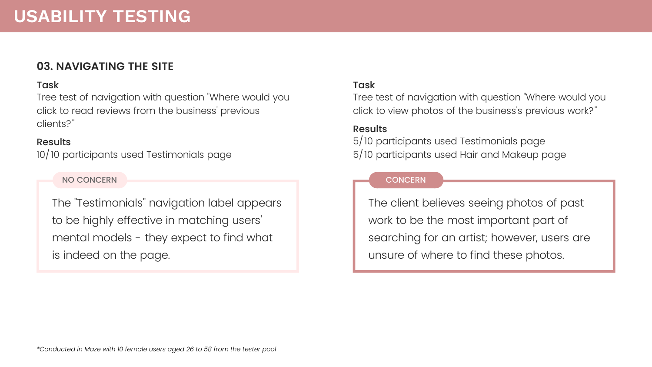### **CONCERN**

## **03. NAVIGATING THE SITE**

## **Task**

Tree test of navigation with question "Where would you click to read reviews from the business' previous clients?"

The "Testimonials" navigation label appears to be highly effective in matching users' mental models - they expect to find what is indeed on the page.

### **Task**

## Results

10/10 participants used Testimonials page

NO CONCERN

Tree test of navigation with question "Where would you click to view photos of the business's previous work?"

The client believes seeing photos of past work to be the most important part of searching for an artist; however, users are unsure of where to find these photos.

## Results

5/10 participants used Testimonials page 5/10 participants used Hair and Makeup page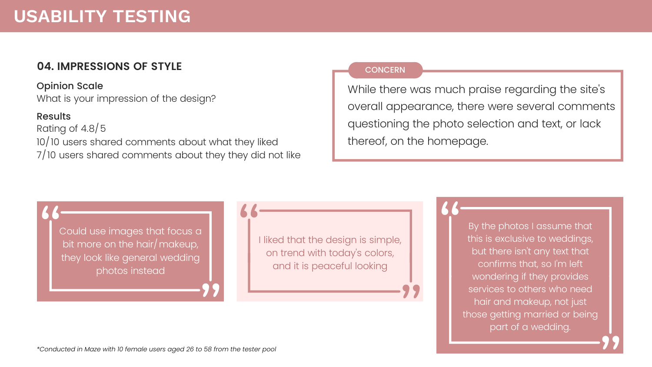Opinion Scale What is your impression of the design?

## Results

Rating of 4.8/5 10/10 users shared comments about what they liked 7/10 users shared comments about they they did not like

While there was much praise regarding the site's overall appearance, there were several comments questioning the photo selection and text, or lack thereof, on the homepage.

I liked that the design is simple, on trend with today's colors, and it is peaceful looking

By the photos I assume that this is exclusive to weddings, but there isn't any text that confirms that, so I'm left wondering if they provides services to others who need hair and makeup, not just those getting married or being part of a wedding.

Could use images that focus a bit more on the hair/makeup, they look like general wedding photos instead

# **USABILITY TESTING**

## **04. IMPRESSIONS OF STYLE** CONCERN